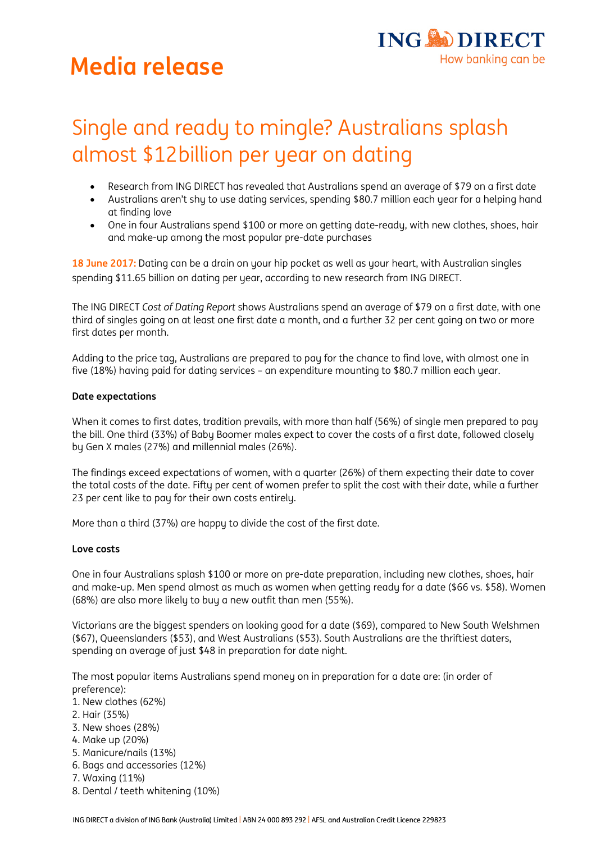# **Media release**



# Single and ready to mingle? Australians splash almost \$12billion per year on dating

- Research from ING DIRECT has revealed that Australians spend an average of \$79 on a first date
- Australians aren't shy to use dating services, spending \$80.7 million each year for a helping hand at finding love
- One in four Australians spend \$100 or more on getting date-ready, with new clothes, shoes, hair and make-up among the most popular pre-date purchases

**18 June 2017:** Dating can be a drain on your hip pocket as well as your heart, with Australian singles spending \$11.65 billion on dating per year, according to new research from ING DIRECT.

The ING DIRECT *Cost of Dating Report* shows Australians spend an average of \$79 on a first date, with one third of singles going on at least one first date a month, and a further 32 per cent going on two or more first dates per month.

Adding to the price tag, Australians are prepared to pay for the chance to find love, with almost one in five (18%) having paid for dating services – an expenditure mounting to \$80.7 million each year.

## **Date expectations**

When it comes to first dates, tradition prevails, with more than half (56%) of single men prepared to pay the bill. One third (33%) of Baby Boomer males expect to cover the costs of a first date, followed closely by Gen X males (27%) and millennial males (26%).

The findings exceed expectations of women, with a quarter (26%) of them expecting their date to cover the total costs of the date. Fifty per cent of women prefer to split the cost with their date, while a further 23 per cent like to pay for their own costs entirely.

More than a third (37%) are happy to divide the cost of the first date.

## **Love costs**

One in four Australians splash \$100 or more on pre-date preparation, including new clothes, shoes, hair and make-up. Men spend almost as much as women when getting ready for a date (\$66 vs. \$58). Women (68%) are also more likely to buy a new outfit than men (55%).

Victorians are the biggest spenders on looking good for a date (\$69), compared to New South Welshmen (\$67), Queenslanders (\$53), and West Australians (\$53). South Australians are the thriftiest daters, spending an average of just \$48 in preparation for date night.

The most popular items Australians spend money on in preparation for a date are: (in order of preference):

- 1. New clothes (62%)
- 2. Hair (35%)
- 3. New shoes (28%)
- 4. Make up (20%)
- 5. Manicure/nails (13%)
- 6. Bags and accessories (12%)
- 7. Waxing (11%)
- 8. Dental / teeth whitening (10%)